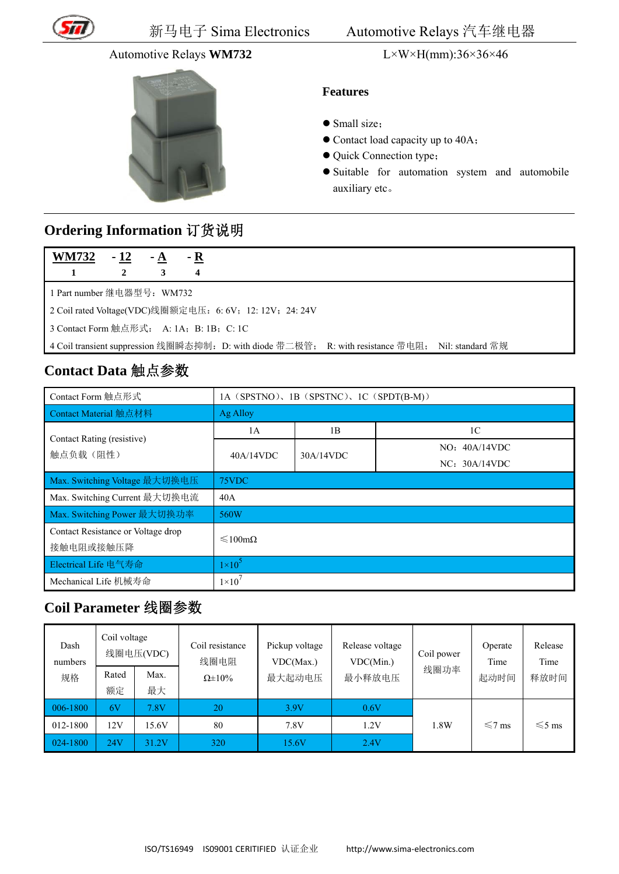

#### **Automotive Relays WM732**



#### $L \times W \times H(mm)$ :36×36×46

#### **Features**

- $\bullet$  Small size:
- Contact load capacity up to 40A;
- Quick Connection type;
- · Suitable for automation system and automobile auxiliary etc.

## Ordering Information 订货说明

| M732<br>W. | 12 |  |
|------------|----|--|
|            |    |  |

1 Part number 继电器型号: WM732

2 Coil rated Voltage(VDC)线圈额定电压: 6: 6V; 12: 12V; 24: 24V

3 Contact Form 触点形式: A: 1A; B: 1B; C: 1C

4 Coil transient suppression 线圈瞬态抑制: D: with diode 带二极管; R: with resistance 带电阻; Nil: standard 常规

## Contact Data 触点参数

| Contact Form 触点形式                  | 1A (SPSTNO), 1B (SPSTNC), 1C (SPDT(B-M)) |           |                |
|------------------------------------|------------------------------------------|-----------|----------------|
| Contact Material 触点材料              | Ag Alloy                                 |           |                |
| Contact Rating (resistive)         | 1A                                       | 1B        | 1 <sup>C</sup> |
| 触点负载(阻性)                           | 40A/14VDC                                | 30A/14VDC | NO: 40A/14VDC  |
|                                    |                                          |           | NC: 30A/14VDC  |
| Max. Switching Voltage 最大切换电压      | 75VDC                                    |           |                |
| Max. Switching Current 最大切换电流      | 40A                                      |           |                |
| Max. Switching Power 最大切换功率        | 560W                                     |           |                |
| Contact Resistance or Voltage drop | $\leq 100 \text{m}\Omega$                |           |                |
| 接触电阻或接触压降                          |                                          |           |                |
| Electrical Life 电气寿命               | $1\times10^5$                            |           |                |
| Mechanical Life 机械寿命               | $1\times10^{7}$                          |           |                |

### Coil Parameter 线圈参数

| Dash<br>numbers | Coil voltage | 线圈电压(VDC) | Coil resistance<br>线圈电阻 | Pickup voltage<br>VDC(Max.) | Release voltage<br>VDC(Min.) | Coil power | Operate<br>Time | Release<br>Time |
|-----------------|--------------|-----------|-------------------------|-----------------------------|------------------------------|------------|-----------------|-----------------|
| 规格              | Rated        | Max.      | $\Omega \pm 10\%$       | 最大起动电压                      | 最小释放电压                       | 线圈功率       | 起动时间            | 释放时间            |
|                 | 额定           | 最大        |                         |                             |                              |            |                 |                 |
| 006-1800        | 6V           | 7.8V      | 20                      | 3.9V                        | 0.6V                         |            |                 |                 |
| 012-1800        | 12V          | 15.6V     | 80                      | 7.8V                        | 1.2V                         | 1.8W       | $\leq 7$ ms     | $\leq 5$ ms     |
| 024-1800        | 24V          | 31.2V     | 320                     | 15.6V                       | 2.4V                         |            |                 |                 |